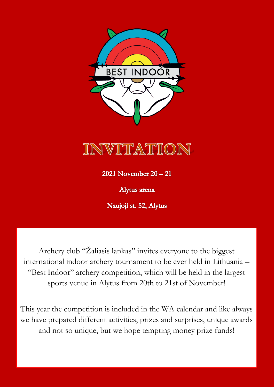

Alytus arena

Naujoji st. 52, Alytus

Archery club "Žaliasis lankas" invites everyone to the biggest international indoor archery tournament to be ever held in Lithuania – "Best Indoor" archery competition, which will be held in the largest sports venue in Alytus from 20th to 21st of November!

This year the competition is included in the WA calendar and like always we have prepared different activities, prizes and surprises, unique awards and not so unique, but we hope tempting money prize funds!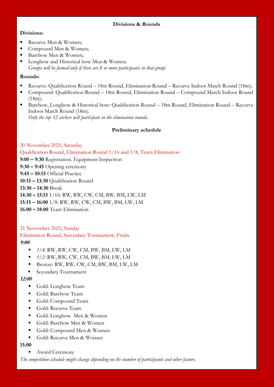### **Divisions & Rounds**

## **Divisions:**

- Recurve Men & Women;
- Compound Men & Women:
- Barebow Men & Women;
- Longbow and Historical bow Men & Women. *Groups will be formed only if there are 8 or more participants in that group.*

### **Rounds:**

- Recurve: Qualification Round 18m Round, Elimination Round Recurve Indoor Match Round (18m);
- Compound: Qualification Round 18m Round, Elimination Round Compound Match Indoor Round (18m);
- Barebow, Longbow & Historical bow: Qualification Round 18m Round, Elimination Round Recurve Indoor Match Round (18m). *Only the top 32 archers will participate in the elimination rounds.*

### **Preliminary schedule**

## 20 November 2021, Saturday

Qualification Round, Elimination Round 1/16 and 1/8, Team Elimination

**9:00 – 9:30** Registration. Equipment Inspection

**9:30 – 9:45** Opening ceremony

**9:45 – 10:15** Official Practice

**10:15 – 13:30** Qualification Round

**13:30 – 14:30** Break

**14:30 – 15:15** 1/16: RW, RW, CW, CM, BW, BM, LW, LM

**15:15 – 16:00** 1/8: RW, RW, CW, CM, BW, BM, LW, LM

**16:00 – 18:00** Team Elimination

21 November 2021, Sunday

Elimination Round, Secondary Tournament, Finals **9:00** 

- *1/4:* RW, RW, CW, CM, BW, BM, LW, LM
- *1/2:* RW, RW, CW, CM, BW, BM, LW, LM
- Bronze: RW, RW, CW, CM, BW, BM, LW, LM
- **Secondary Tournament**

## **12:00**

- Gold: Longbow Team
- Gold: Barebow Team
- Gold: Compound Team
- Gold: Recurve Team
- Gold: Longbow Men & Women
- Gold: Barebow Men & Women
- Gold: Compound Men & Women
- Gold: Recurve Men & Women

## **15:00**

Award Ceremony

*The competition schedule might change depending on the number of participants and other factors.*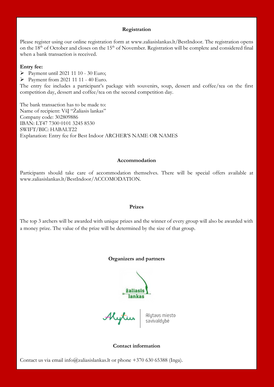#### **Registration**

Please register using our online registration form at www.zaliasislankas.lt/BestIndoor. The registration opens on the 18<sup>th</sup> of October and closes on the 15<sup>th</sup> of November. Registration will be complete and considered final when a bank transaction is received.

#### **Entry fee:**

Payment until 2021 11 10 - 30 Euro;

Payment from 2021 11 11 - 40 Euro.

The entry fee includes a participant's package with souvenirs, soup, dessert and coffee/tea on the first competition day, dessert and coffee/tea on the second competition day.

The bank transaction has to be made to: Name of recipient: VšĮ "Žaliasis lankas" Company code: 302809886 IBAN: LT47 7300 0101 3245 8530 SWIFT/BIC: HABALT22 Explanation: Entry fee for Best Indoor ARCHER'S NAME OR NAMES

#### **Accommodation**

Participants should take care of accommodation themselves. There will be special offers available at www.zaliasislankas.lt/BestIndoor/ACCOMODATION.

#### **Prizes**

The top 3 archers will be awarded with unique prizes and the winner of every group will also be awarded with a money prize. The value of the prize will be determined by the size of that group.

### **Organizers and partners**

lankac

Mytius Alytaus miesto<br>savivaldybė

### **Contact information**

Contact us via email info@zaliasislankas.lt or phone  $+370$  630 65388 (Inga).